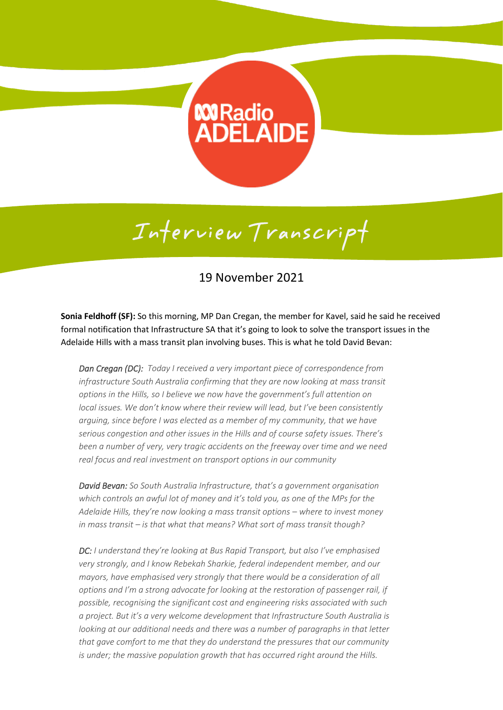## **Mandio**<br>ADELAIDE

## Interview Transcript

## 19 November 2021

**Sonia Feldhoff (SF):** So this morning, MP Dan Cregan, the member for Kavel, said he said he received formal notification that Infrastructure SA that it's going to look to solve the transport issues in the Adelaide Hills with a mass transit plan involving buses. This is what he told David Bevan:

*Dan Cregan (DC): Today I received a very important piece of correspondence from infrastructure South Australia confirming that they are now looking at mass transit options in the Hills, so I believe we now have the government's full attention on local issues. We don't know where their review will lead, but I've been consistently arguing, since before I was elected as a member of my community, that we have serious congestion and other issues in the Hills and of course safety issues. There's been a number of very, very tragic accidents on the freeway over time and we need real focus and real investment on transport options in our community*

*David Bevan: So South Australia Infrastructure, that's a government organisation which controls an awful lot of money and it's told you, as one of the MPs for the Adelaide Hills, they're now looking a mass transit options – where to invest money in mass transit – is that what that means? What sort of mass transit though?*

*DC: I understand they're looking at Bus Rapid Transport, but also I've emphasised very strongly, and I know Rebekah Sharkie, federal independent member, and our mayors, have emphasised very strongly that there would be a consideration of all options and I'm a strong advocate for looking at the restoration of passenger rail, if possible, recognising the significant cost and engineering risks associated with such a project. But it's a very welcome development that Infrastructure South Australia is looking at our additional needs and there was a number of paragraphs in that letter that gave comfort to me that they do understand the pressures that our community is under; the massive population growth that has occurred right around the Hills.*